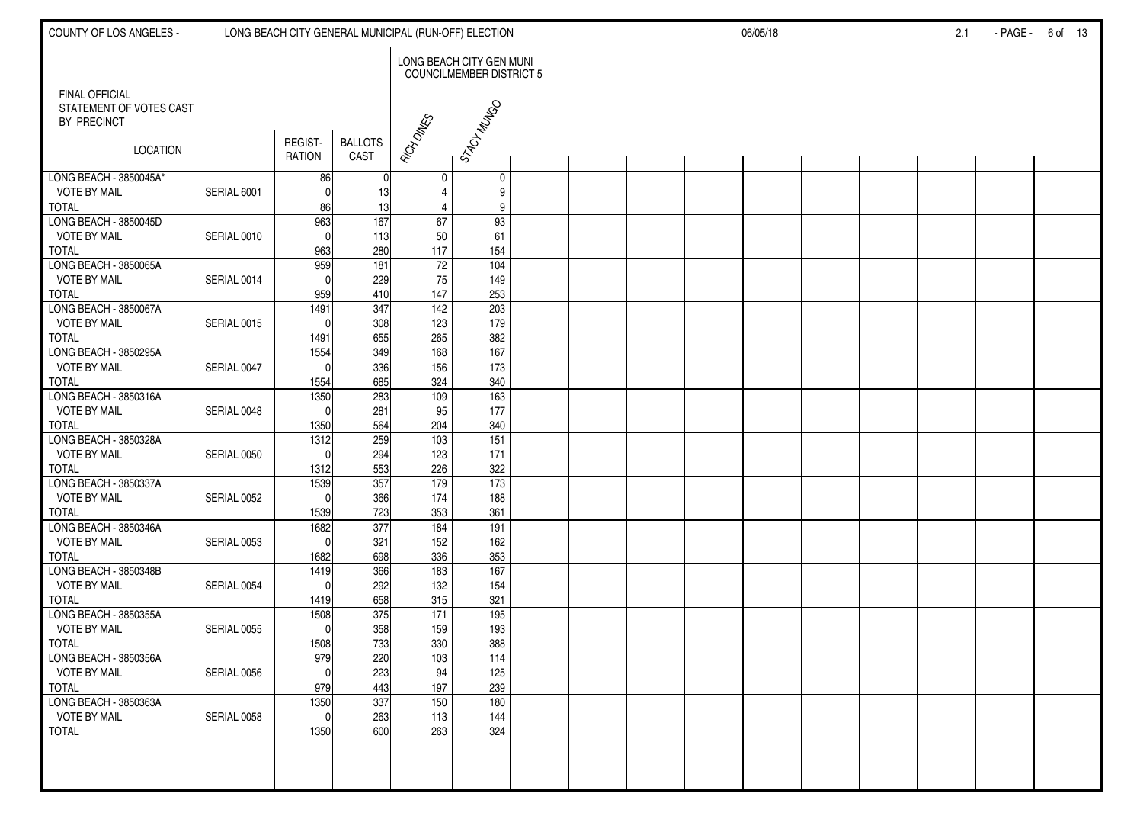| COUNTY OF LOS ANGELES -                                       |             |                               |                                | LONG BEACH CITY GENERAL MUNICIPAL (RUN-OFF) ELECTION |                                                      | 06/05/18 |  |  |  |  | 2.1 | - PAGE - 6 of 13 |  |
|---------------------------------------------------------------|-------------|-------------------------------|--------------------------------|------------------------------------------------------|------------------------------------------------------|----------|--|--|--|--|-----|------------------|--|
|                                                               |             |                               |                                |                                                      | LONG BEACH CITY GEN MUNI<br>COUNCILMEMBER DISTRICT 5 |          |  |  |  |  |     |                  |  |
| FINAL OFFICIAL<br>STATEMENT OF VOTES CAST<br>BY PRECINCT      |             |                               |                                |                                                      | STACY MUNGO                                          |          |  |  |  |  |     |                  |  |
| <b>LOCATION</b>                                               |             | REGIST-<br><b>RATION</b>      | <b>BALLOTS</b><br>CAST         | RICH DINES                                           |                                                      |          |  |  |  |  |     |                  |  |
| LONG BEACH - 3850045A*<br><b>VOTE BY MAIL</b><br><b>TOTAL</b> | SERIAL 6001 | 86<br>$\mathsf{C}$<br>86      | 13<br>13                       | 0<br>4<br>4                                          | 0<br>9<br>9                                          |          |  |  |  |  |     |                  |  |
| LONG BEACH - 3850045D<br><b>VOTE BY MAIL</b><br><b>TOTAL</b>  | SERIAL 0010 | 963<br>$\mathsf{C}$<br>963    | 167<br>113<br>280              | 67<br>50<br>117                                      | 93<br>61<br>154                                      |          |  |  |  |  |     |                  |  |
| LONG BEACH - 3850065A<br><b>VOTE BY MAIL</b><br><b>TOTAL</b>  | SERIAL 0014 | 959<br>$\sqrt{ }$<br>959      | 181<br>229                     | $72\,$<br>75<br>147                                  | 104<br>149<br>253                                    |          |  |  |  |  |     |                  |  |
| LONG BEACH - 3850067A<br><b>VOTE BY MAIL</b>                  | SERIAL 0015 | 1491<br>C                     | 410<br>$\overline{347}$<br>308 | 142<br>123                                           | 203<br>179                                           |          |  |  |  |  |     |                  |  |
| <b>TOTAL</b><br>LONG BEACH - 3850295A<br><b>VOTE BY MAIL</b>  | SERIAL 0047 | 1491<br>1554<br>$\mathsf{C}$  | 655<br>349<br>336              | 265<br>168<br>156                                    | 382<br>167<br>173                                    |          |  |  |  |  |     |                  |  |
| <b>TOTAL</b><br>LONG BEACH - 3850316A<br><b>VOTE BY MAIL</b>  | SERIAL 0048 | 1554<br>1350                  | 685<br>283<br>281              | 324<br>109<br>95                                     | 340<br>$\frac{163}{ }$<br>177                        |          |  |  |  |  |     |                  |  |
| <b>TOTAL</b><br>LONG BEACH - 3850328A<br><b>VOTE BY MAIL</b>  | SERIAL 0050 | 1350<br>$\frac{1312}{2}$<br>C | 564<br>259<br>294              | 204<br>$\frac{103}{2}$<br>123                        | 340<br>151<br>171                                    |          |  |  |  |  |     |                  |  |
| <b>TOTAL</b><br>LONG BEACH - 3850337A<br><b>VOTE BY MAIL</b>  | SERIAL 0052 | 1312<br>1539<br>C             | 553<br>357<br>366              | 226<br>179<br>174                                    | 322<br>$\overline{173}$<br>188                       |          |  |  |  |  |     |                  |  |
| <b>TOTAL</b><br>LONG BEACH - 3850346A<br>VOTE BY MAIL         | SERIAL 0053 | 1539<br>1682<br>$\Omega$      | 723<br>377<br>321              | 353<br>184                                           | 361<br>191                                           |          |  |  |  |  |     |                  |  |
| <b>TOTAL</b><br>LONG BEACH - 3850348B                         |             | 1682<br>1419                  | 698<br>366                     | 152<br>336<br>183                                    | 162<br>353<br>167                                    |          |  |  |  |  |     |                  |  |
| <b>VOTE BY MAIL</b><br><b>TOTAL</b><br>LONG BEACH - 3850355A  | SERIAL 0054 | $\mathsf{C}$<br>1419<br>1508  | 292<br>658<br>375              | 132<br>315<br>171                                    | 154<br>321<br>195                                    |          |  |  |  |  |     |                  |  |
| VOTE BY MAIL<br>TOTAL                                         | SERIAL 0055 | $\Omega$<br>1508              | 358<br>733                     | 159<br>330                                           | 193<br>388                                           |          |  |  |  |  |     |                  |  |
| LONG BEACH - 3850356A<br>VOTE BY MAIL<br><b>TOTAL</b>         | SERIAL 0056 | 979<br>-01<br>979             | 220<br>223<br>443              | 103<br>94<br>197                                     | 114<br>125<br>239                                    |          |  |  |  |  |     |                  |  |
| LONG BEACH - 3850363A<br><b>VOTE BY MAIL</b><br><b>TOTAL</b>  | SERIAL 0058 | 1350<br>$\mathbf{0}$<br>1350  | 337<br>263<br>600              | 150<br>113<br>263                                    | 180<br>144<br>324                                    |          |  |  |  |  |     |                  |  |
|                                                               |             |                               |                                |                                                      |                                                      |          |  |  |  |  |     |                  |  |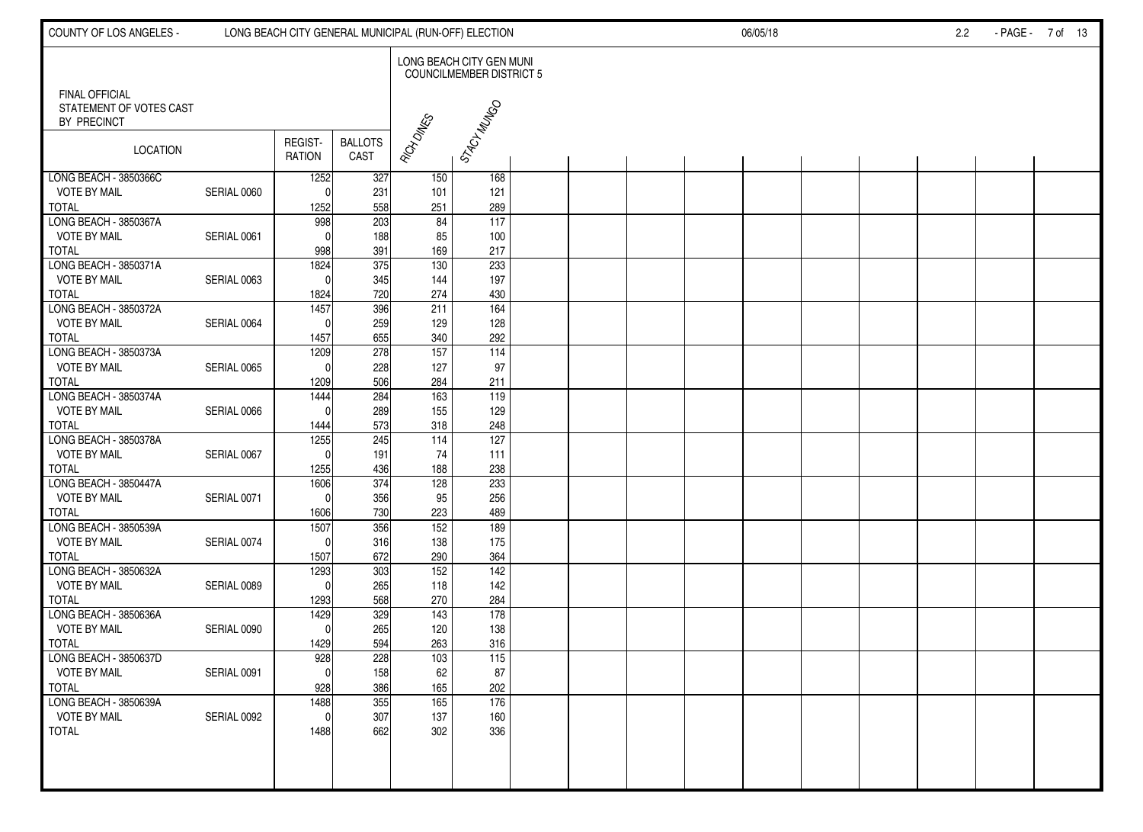| COUNTY OF LOS ANGELES -                                         |             |                              |                        | LONG BEACH CITY GENERAL MUNICIPAL (RUN-OFF) ELECTION |                                                             | 06/05/18 |  |  |  |  | $2.2\phantom{0}$ | -PAGE - 7 of 13 |  |
|-----------------------------------------------------------------|-------------|------------------------------|------------------------|------------------------------------------------------|-------------------------------------------------------------|----------|--|--|--|--|------------------|-----------------|--|
|                                                                 |             |                              |                        |                                                      | LONG BEACH CITY GEN MUNI<br><b>COUNCILMEMBER DISTRICT 5</b> |          |  |  |  |  |                  |                 |  |
| <b>FINAL OFFICIAL</b><br>STATEMENT OF VOTES CAST<br>BY PRECINCT |             |                              |                        |                                                      | STACY MUNGO                                                 |          |  |  |  |  |                  |                 |  |
| <b>LOCATION</b>                                                 |             | REGIST-<br><b>RATION</b>     | <b>BALLOTS</b><br>CAST | RICH DINES                                           |                                                             |          |  |  |  |  |                  |                 |  |
| LONG BEACH - 3850366C<br><b>VOTE BY MAIL</b><br><b>TOTAL</b>    | SERIAL 0060 | 1252<br>C<br>1252            | 327<br>231<br>558      | 150<br>101<br>251                                    | 168<br>121<br>289                                           |          |  |  |  |  |                  |                 |  |
| LONG BEACH - 3850367A<br><b>VOTE BY MAIL</b><br><b>TOTAL</b>    | SERIAL 0061 | 998<br>$\mathsf{C}$<br>998   | 203<br>188<br>391      | 84<br>85<br>169                                      | $\frac{117}{117}$<br>100<br>217                             |          |  |  |  |  |                  |                 |  |
| LONG BEACH - 3850371A<br><b>VOTE BY MAIL</b>                    | SERIAL 0063 | 1824<br>C                    | 375<br>345             | $\frac{1}{30}$<br>144                                | 233<br>197                                                  |          |  |  |  |  |                  |                 |  |
| <b>TOTAL</b><br>LONG BEACH - 3850372A<br><b>VOTE BY MAIL</b>    | SERIAL 0064 | 1824<br>1457<br>C            | 720<br>396<br>259      | 274<br>211<br>129                                    | 430<br>164<br>128                                           |          |  |  |  |  |                  |                 |  |
| <b>TOTAL</b><br>LONG BEACH - 3850373A<br>VOTE BY MAIL           | SERIAL 0065 | 1457<br>1209<br>$\mathsf{C}$ | 655<br>278<br>228      | 340<br>157<br>127                                    | 292<br>$\frac{114}{114}$<br>97                              |          |  |  |  |  |                  |                 |  |
| <b>TOTAL</b><br>LONG BEACH - 3850374A<br><b>VOTE BY MAIL</b>    | SERIAL 0066 | 1209<br>1444<br>$\mathsf{C}$ | 506<br>284<br>289      | 284<br>163<br>155                                    | 211<br>119<br>129                                           |          |  |  |  |  |                  |                 |  |
| <b>TOTAL</b><br>LONG BEACH - 3850378A                           |             | 1444<br>1255<br>C            | 573<br>245             | 318<br>114                                           | 248<br>127                                                  |          |  |  |  |  |                  |                 |  |
| <b>VOTE BY MAIL</b><br><b>TOTAL</b><br>LONG BEACH - 3850447A    | SERIAL 0067 | 1255<br>1606                 | 191<br>436<br>374      | 74<br>188<br>128                                     | 111<br>238<br>233                                           |          |  |  |  |  |                  |                 |  |
| <b>VOTE BY MAIL</b><br><b>TOTAL</b><br>LONG BEACH - 3850539A    | SERIAL 0071 | $\Omega$<br>1606<br>1507     | 356<br>730<br>356      | 95<br>223<br>152                                     | 256<br>489<br>189                                           |          |  |  |  |  |                  |                 |  |
| <b>VOTE BY MAIL</b><br><b>TOTAL</b>                             | SERIAL 0074 | C<br>1507                    | 316<br>672             | 138<br>290                                           | 175<br>364<br>$\frac{142}{2}$                               |          |  |  |  |  |                  |                 |  |
| LONG BEACH - 3850632A<br><b>VOTE BY MAIL</b><br><b>TOTAL</b>    | SERIAL 0089 | 1293<br>$\sqrt{ }$<br>1293   | 303<br>265<br>568      | 152<br>118<br>270                                    | 142<br>284                                                  |          |  |  |  |  |                  |                 |  |
| LONG BEACH - 3850636A<br><b>VOTE BY MAIL</b><br>TOTAL           | SERIAL 0090 | 1429<br>$\sqrt{ }$<br>1429   | 329<br>265<br>594      | 143<br>120<br>263                                    | 178<br>138<br>316                                           |          |  |  |  |  |                  |                 |  |
| LONG BEACH - 3850637D<br><b>VOTE BY MAIL</b><br><b>TOTAL</b>    | SERIAL 0091 | 928<br>-01<br>928            | 228<br>158<br>386      | 103<br>62<br>165                                     | 115<br>87<br>202                                            |          |  |  |  |  |                  |                 |  |
| LONG BEACH - 3850639A<br><b>VOTE BY MAIL</b><br><b>TOTAL</b>    | SERIAL 0092 | 1488<br>$\Omega$<br>1488     | 355<br>307<br>662      | 165<br>137<br>302                                    | 176<br>160<br>336                                           |          |  |  |  |  |                  |                 |  |
|                                                                 |             |                              |                        |                                                      |                                                             |          |  |  |  |  |                  |                 |  |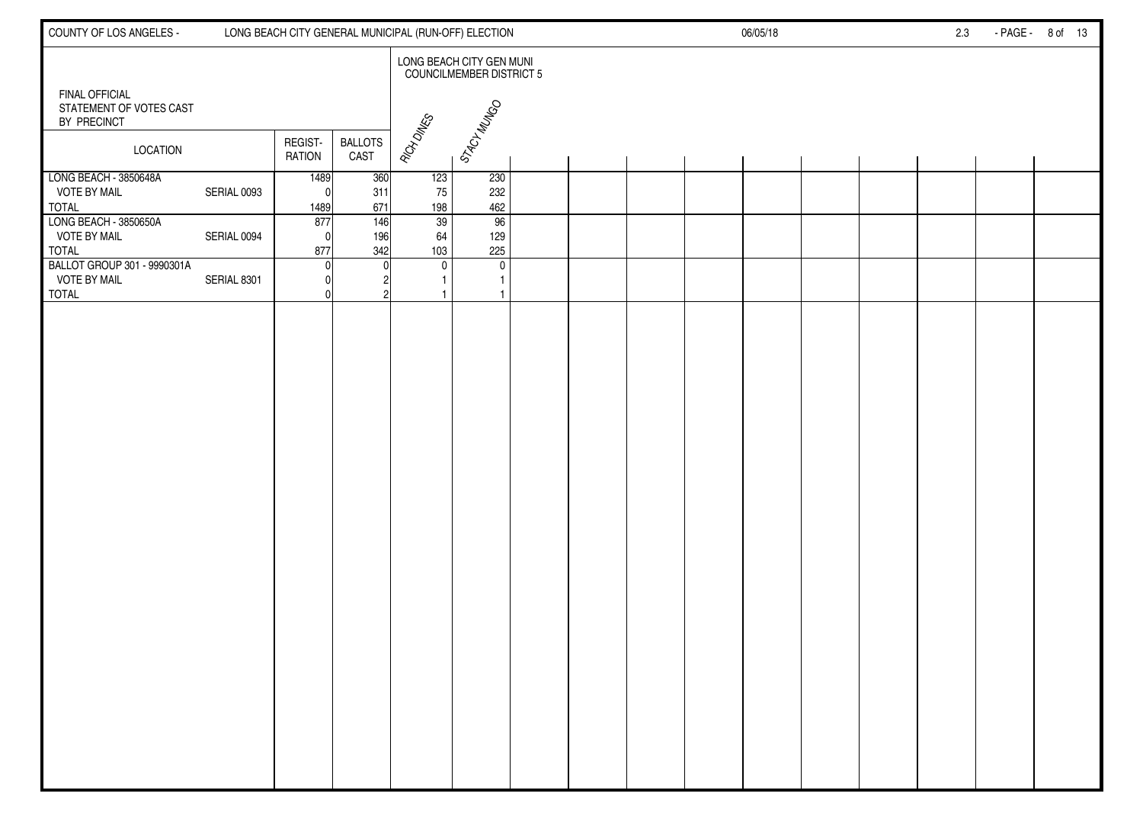| COUNTY OF LOS ANGELES -                                            |             |                          |                        | LONG BEACH CITY GENERAL MUNICIPAL (RUN-OFF) ELECTION |                                                             |  |  | 06/05/18 |  | 2.3 | - PAGE - 8 of 13 |  |
|--------------------------------------------------------------------|-------------|--------------------------|------------------------|------------------------------------------------------|-------------------------------------------------------------|--|--|----------|--|-----|------------------|--|
|                                                                    |             |                          |                        |                                                      | LONG BEACH CITY GEN MUNI<br><b>COUNCILMEMBER DISTRICT 5</b> |  |  |          |  |     |                  |  |
| <b>FINAL OFFICIAL</b><br>STATEMENT OF VOTES CAST<br>BY PRECINCT    |             |                          |                        |                                                      | STACY MAIGO                                                 |  |  |          |  |     |                  |  |
| <b>LOCATION</b>                                                    |             | REGIST-<br><b>RATION</b> | <b>BALLOTS</b><br>CAST | RICH DINES                                           |                                                             |  |  |          |  |     |                  |  |
| LONG BEACH - 3850648A<br><b>VOTE BY MAIL</b><br><b>TOTAL</b>       | SERIAL 0093 | 1489<br>$\Omega$<br>1489 | 360<br>311<br>671      | 123<br>75<br>198                                     | 230<br>232<br>462                                           |  |  |          |  |     |                  |  |
| LONG BEACH - 3850650A<br><b>VOTE BY MAIL</b><br><b>TOTAL</b>       | SERIAL 0094 | 877<br>$\Omega$<br>877   | 146<br>196<br>342      | 39<br>64<br>103                                      | 96<br>129<br>225                                            |  |  |          |  |     |                  |  |
| BALLOT GROUP 301 - 9990301A<br><b>VOTE BY MAIL</b><br><b>TOTAL</b> | SERIAL 8301 | $\Omega$                 |                        | $\mathbf 0$<br>1                                     | $\mathbf 0$<br>$\mathbf{1}$<br>$\mathbf{1}$                 |  |  |          |  |     |                  |  |
|                                                                    |             |                          |                        |                                                      |                                                             |  |  |          |  |     |                  |  |
|                                                                    |             |                          |                        |                                                      |                                                             |  |  |          |  |     |                  |  |
|                                                                    |             |                          |                        |                                                      |                                                             |  |  |          |  |     |                  |  |
|                                                                    |             |                          |                        |                                                      |                                                             |  |  |          |  |     |                  |  |
|                                                                    |             |                          |                        |                                                      |                                                             |  |  |          |  |     |                  |  |
|                                                                    |             |                          |                        |                                                      |                                                             |  |  |          |  |     |                  |  |
|                                                                    |             |                          |                        |                                                      |                                                             |  |  |          |  |     |                  |  |
|                                                                    |             |                          |                        |                                                      |                                                             |  |  |          |  |     |                  |  |
|                                                                    |             |                          |                        |                                                      |                                                             |  |  |          |  |     |                  |  |
|                                                                    |             |                          |                        |                                                      |                                                             |  |  |          |  |     |                  |  |
|                                                                    |             |                          |                        |                                                      |                                                             |  |  |          |  |     |                  |  |
|                                                                    |             |                          |                        |                                                      |                                                             |  |  |          |  |     |                  |  |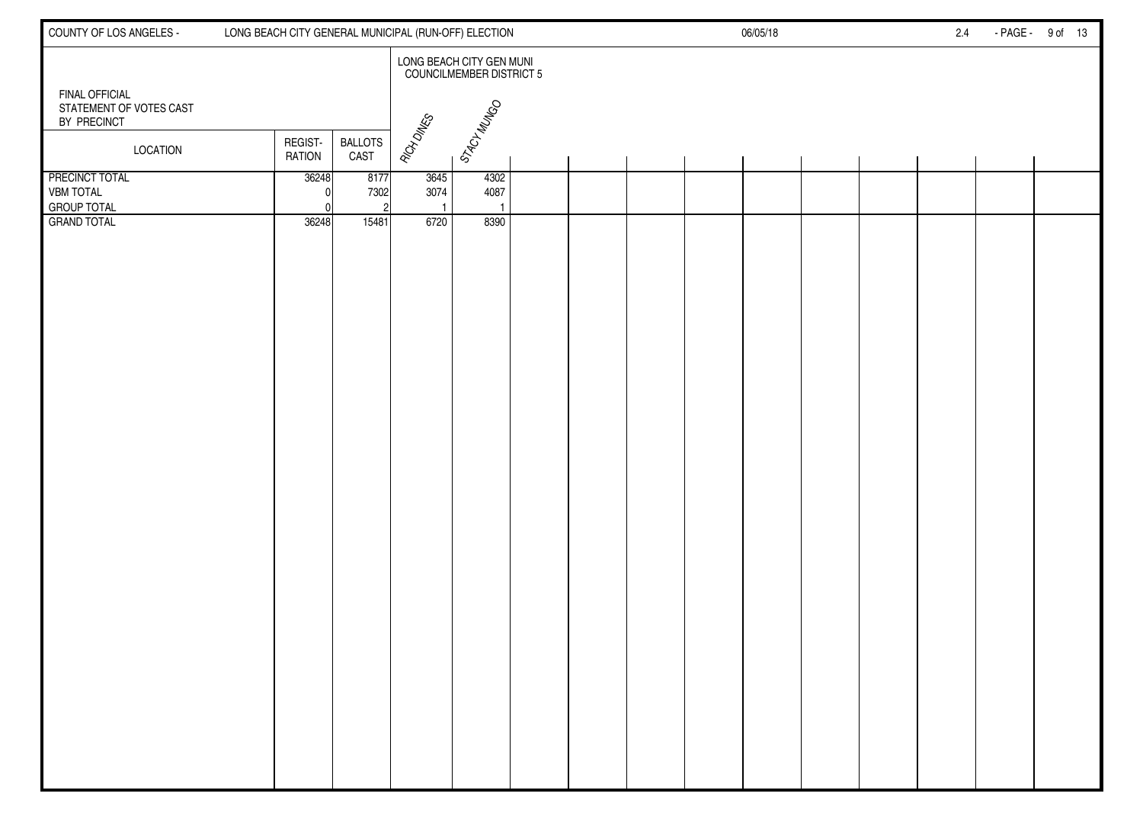| COUNTY OF LOS ANGELES -                                         | LONG BEACH CITY GENERAL MUNICIPAL (RUN-OFF) ELECTION |                                                             |  | 06/05/18 | 2.4 | - PAGE - 9 of 13 |
|-----------------------------------------------------------------|------------------------------------------------------|-------------------------------------------------------------|--|----------|-----|------------------|
|                                                                 |                                                      | LONG BEACH CITY GEN MUNI<br><b>COUNCILMEMBER DISTRICT 5</b> |  |          |     |                  |
| <b>FINAL OFFICIAL</b><br>STATEMENT OF VOTES CAST<br>BY PRECINCT |                                                      | STACY MUNGO                                                 |  |          |     |                  |
| <b>LOCATION</b>                                                 | <b>BALLOTS</b><br>REGIST-<br>CAST<br><b>RATION</b>   | RICH DINES                                                  |  |          |     |                  |
| <b>PRECINCT TOTAL</b><br><b>VBM TOTAL</b><br><b>GROUP TOTAL</b> | 36248<br>8177<br>7302                                | 3645<br>4302<br>3074<br>4087                                |  |          |     |                  |
| <b>GRAND TOTAL</b>                                              | 36248<br>15481                                       | 6720<br>8390                                                |  |          |     |                  |
|                                                                 |                                                      |                                                             |  |          |     |                  |
|                                                                 |                                                      |                                                             |  |          |     |                  |
|                                                                 |                                                      |                                                             |  |          |     |                  |
|                                                                 |                                                      |                                                             |  |          |     |                  |
|                                                                 |                                                      |                                                             |  |          |     |                  |
|                                                                 |                                                      |                                                             |  |          |     |                  |
|                                                                 |                                                      |                                                             |  |          |     |                  |
|                                                                 |                                                      |                                                             |  |          |     |                  |
|                                                                 |                                                      |                                                             |  |          |     |                  |
|                                                                 |                                                      |                                                             |  |          |     |                  |
|                                                                 |                                                      |                                                             |  |          |     |                  |
|                                                                 |                                                      |                                                             |  |          |     |                  |
|                                                                 |                                                      |                                                             |  |          |     |                  |
|                                                                 |                                                      |                                                             |  |          |     |                  |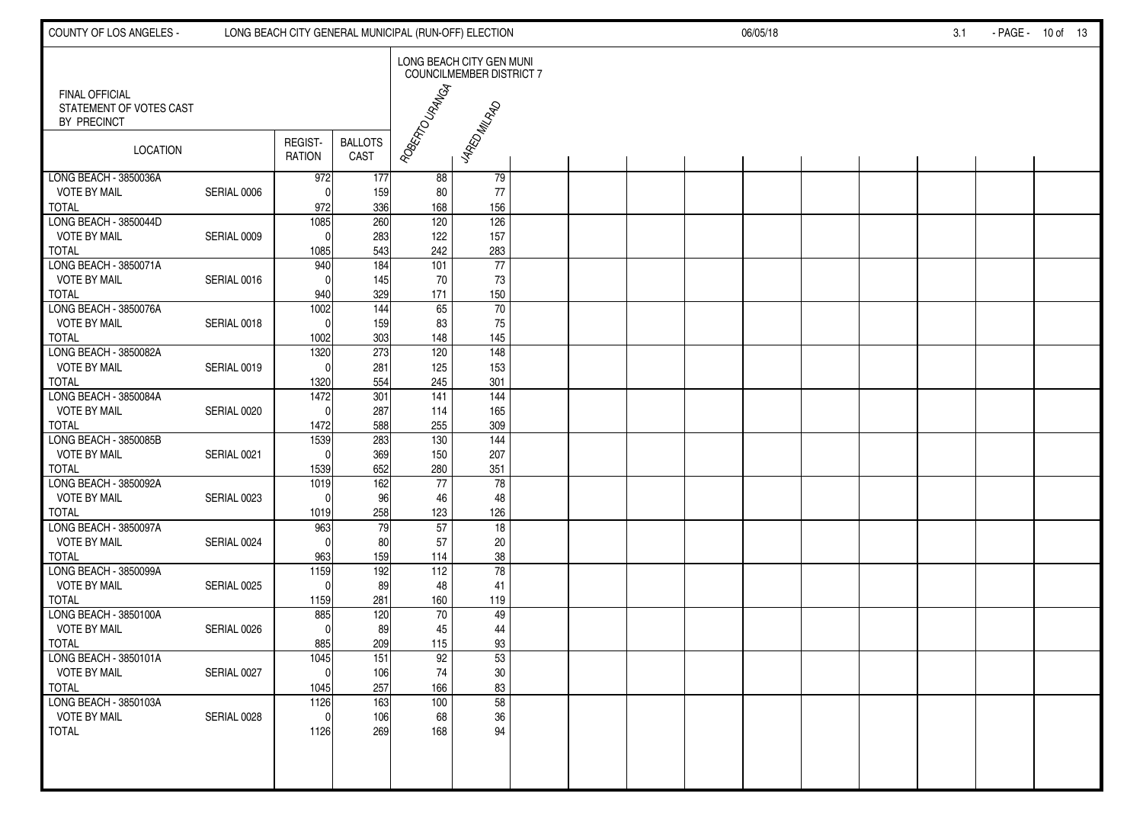| COUNTY OF LOS ANGELES -                                         |             |                          |                        | LONG BEACH CITY GENERAL MUNICIPAL (RUN-OFF) ELECTION |                                                      | 06/05/18 |  |  |  |  | 3.1 | - PAGE - 10 of 13 |  |
|-----------------------------------------------------------------|-------------|--------------------------|------------------------|------------------------------------------------------|------------------------------------------------------|----------|--|--|--|--|-----|-------------------|--|
|                                                                 |             |                          |                        |                                                      | LONG BEACH CITY GEN MUNI<br>COUNCILMEMBER DISTRICT 7 |          |  |  |  |  |     |                   |  |
| <b>FINAL OFFICIAL</b><br>STATEMENT OF VOTES CAST<br>BY PRECINCT |             |                          |                        | Rogenzo Unguesi                                      | JARED MILADO                                         |          |  |  |  |  |     |                   |  |
| <b>LOCATION</b>                                                 |             | REGIST-<br><b>RATION</b> | <b>BALLOTS</b><br>CAST |                                                      |                                                      |          |  |  |  |  |     |                   |  |
| LONG BEACH - 3850036A<br><b>VOTE BY MAIL</b>                    | SERIAL 0006 | 972<br>C                 | 177<br>159             | 88<br>80                                             | 79<br>77                                             |          |  |  |  |  |     |                   |  |
| <b>TOTAL</b>                                                    |             | 972                      | 336                    | 168                                                  | 156                                                  |          |  |  |  |  |     |                   |  |
| LONG BEACH - 3850044D                                           |             | 1085                     | 260                    | 120                                                  | 126                                                  |          |  |  |  |  |     |                   |  |
| <b>VOTE BY MAIL</b>                                             | SERIAL 0009 |                          | 283                    | 122                                                  | 157                                                  |          |  |  |  |  |     |                   |  |
| <b>TOTAL</b>                                                    |             | 1085                     | 543                    | 242                                                  | 283                                                  |          |  |  |  |  |     |                   |  |
| LONG BEACH - 3850071A                                           |             | 940                      | 184                    | 101                                                  | $\overline{77}$                                      |          |  |  |  |  |     |                   |  |
| <b>VOTE BY MAIL</b>                                             | SERIAL 0016 |                          | 145                    | 70                                                   | 73                                                   |          |  |  |  |  |     |                   |  |
| <b>TOTAL</b><br>LONG BEACH - 3850076A                           |             | 940<br>$\frac{1002}{2}$  | 329<br>144             | 171<br>65                                            | 150<br>70                                            |          |  |  |  |  |     |                   |  |
| <b>VOTE BY MAIL</b>                                             | SERIAL 0018 | $\mathsf{C}$             | 159                    | 83                                                   | 75                                                   |          |  |  |  |  |     |                   |  |
| <b>TOTAL</b>                                                    |             | 1002                     | 303                    | 148                                                  | 145                                                  |          |  |  |  |  |     |                   |  |
| LONG BEACH - 3850082A                                           |             | 1320                     | 273                    | $\overline{120}$                                     | $\frac{1}{148}$                                      |          |  |  |  |  |     |                   |  |
| <b>VOTE BY MAIL</b>                                             | SERIAL 0019 | $\mathsf{C}$             | 281                    | 125                                                  | 153                                                  |          |  |  |  |  |     |                   |  |
| <b>TOTAL</b>                                                    |             | 1320                     | 554                    | 245                                                  | 301                                                  |          |  |  |  |  |     |                   |  |
| LONG BEACH - 3850084A                                           |             | 1472                     | 301                    | $\frac{141}{141}$                                    | 144                                                  |          |  |  |  |  |     |                   |  |
| <b>VOTE BY MAIL</b>                                             | SERIAL 0020 | C                        | 287                    | 114                                                  | 165                                                  |          |  |  |  |  |     |                   |  |
| <b>TOTAL</b>                                                    |             | 1472                     | 588                    | 255                                                  | 309                                                  |          |  |  |  |  |     |                   |  |
| LONG BEACH - 3850085B                                           |             | 1539                     | 283                    | 130                                                  | 144                                                  |          |  |  |  |  |     |                   |  |
| <b>VOTE BY MAIL</b>                                             | SERIAL 0021 | $\mathsf{C}$             | 369                    | 150                                                  | 207                                                  |          |  |  |  |  |     |                   |  |
| <b>TOTAL</b>                                                    |             | 1539                     | 652                    | 280                                                  | 351                                                  |          |  |  |  |  |     |                   |  |
| LONG BEACH - 3850092A                                           |             | 1019                     | 162                    | 77                                                   | 78                                                   |          |  |  |  |  |     |                   |  |
| VOTE BY MAIL                                                    | SERIAL 0023 |                          | 96                     | 46                                                   | 48                                                   |          |  |  |  |  |     |                   |  |
| <b>TOTAL</b><br>LONG BEACH - 3850097A                           |             | 1019<br>963              | 258<br>79              | 123<br>57                                            | 126<br>18                                            |          |  |  |  |  |     |                   |  |
| <b>VOTE BY MAIL</b>                                             | SERIAL 0024 |                          | 80                     | 57                                                   | $20\,$                                               |          |  |  |  |  |     |                   |  |
| <b>TOTAL</b>                                                    |             | 963                      | 159                    | 114                                                  | $38\,$                                               |          |  |  |  |  |     |                   |  |
| LONG BEACH - 3850099A                                           |             | 1159                     | 192                    | $\frac{112}{112}$                                    | $\overline{78}$                                      |          |  |  |  |  |     |                   |  |
| <b>VOTE BY MAIL</b>                                             | SERIAL 0025 | $\Omega$                 | 89                     | 48                                                   | 41                                                   |          |  |  |  |  |     |                   |  |
| <b>TOTAL</b>                                                    |             | 1159                     | 281                    | 160                                                  | 119                                                  |          |  |  |  |  |     |                   |  |
| LONG BEACH - 3850100A                                           |             | 885                      | 120                    | $70\,$                                               | 49                                                   |          |  |  |  |  |     |                   |  |
| <b>VOTE BY MAIL</b>                                             | SERIAL 0026 | $\mathsf{C}$             | 89                     | 45                                                   | 44                                                   |          |  |  |  |  |     |                   |  |
| <b>TOTAL</b>                                                    |             | 885                      | 209                    | 115                                                  | 93                                                   |          |  |  |  |  |     |                   |  |
| LONG BEACH - 3850101A                                           |             | 1045                     | 151                    | 92                                                   | 53                                                   |          |  |  |  |  |     |                   |  |
| VOTE BY MAIL                                                    | SERIAL 0027 | U.                       | 106                    | $74$                                                 | $30\,$                                               |          |  |  |  |  |     |                   |  |
| <b>TOTAL</b>                                                    |             | 1045                     | 257                    | 166                                                  | 83                                                   |          |  |  |  |  |     |                   |  |
| LONG BEACH - 3850103A                                           |             | $\frac{1126}{ }$         | 163                    | 100                                                  | 58                                                   |          |  |  |  |  |     |                   |  |
| VOTE BY MAIL                                                    | SERIAL 0028 | $\mathbf{0}$             | 106                    | 68                                                   | $36\,$                                               |          |  |  |  |  |     |                   |  |
| <b>TOTAL</b>                                                    |             | 1126                     | 269                    | 168                                                  | 94                                                   |          |  |  |  |  |     |                   |  |
|                                                                 |             |                          |                        |                                                      |                                                      |          |  |  |  |  |     |                   |  |
|                                                                 |             |                          |                        |                                                      |                                                      |          |  |  |  |  |     |                   |  |
|                                                                 |             |                          |                        |                                                      |                                                      |          |  |  |  |  |     |                   |  |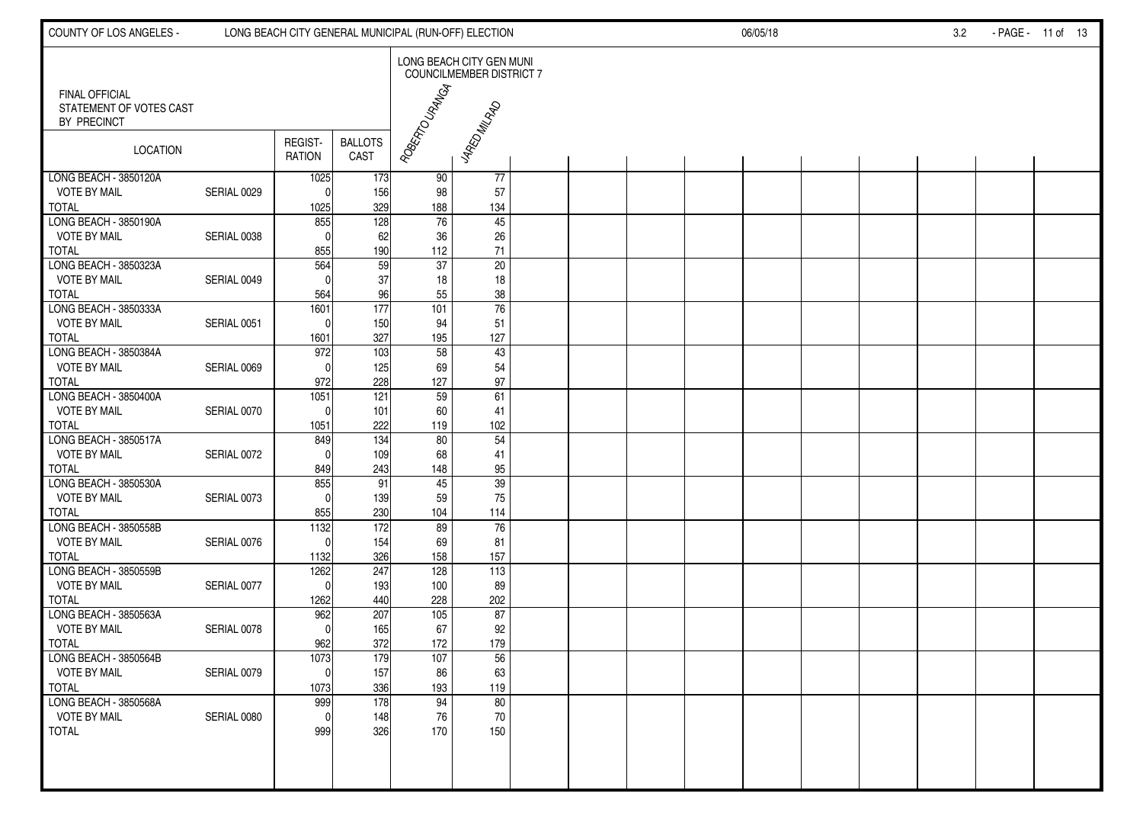| COUNTY OF LOS ANGELES -                                         |             | LONG BEACH CITY GENERAL MUNICIPAL (RUN-OFF) ELECTION |                        |                 | 06/05/18                                             |  |  |  |  | 3.2 | - PAGE - 11 of 13 |  |  |  |  |
|-----------------------------------------------------------------|-------------|------------------------------------------------------|------------------------|-----------------|------------------------------------------------------|--|--|--|--|-----|-------------------|--|--|--|--|
|                                                                 |             |                                                      |                        |                 | LONG BEACH CITY GEN MUNI<br>COUNCILMEMBER DISTRICT 7 |  |  |  |  |     |                   |  |  |  |  |
| <b>FINAL OFFICIAL</b><br>STATEMENT OF VOTES CAST<br>BY PRECINCT |             |                                                      |                        | Rogenzo Unguesi | - 4RED MILRAD                                        |  |  |  |  |     |                   |  |  |  |  |
| <b>LOCATION</b>                                                 |             | REGIST-<br><b>RATION</b>                             | <b>BALLOTS</b><br>CAST |                 |                                                      |  |  |  |  |     |                   |  |  |  |  |
| LONG BEACH - 3850120A<br><b>VOTE BY MAIL</b>                    | SERIAL 0029 | 1025<br>C                                            | 173<br>156             | 90<br>98        | $\overline{77}$<br>57                                |  |  |  |  |     |                   |  |  |  |  |
| <b>TOTAL</b>                                                    |             | 1025                                                 | 329                    | 188             | 134                                                  |  |  |  |  |     |                   |  |  |  |  |
| LONG BEACH - 3850190A                                           |             | 855                                                  | 128                    | $\overline{76}$ | 45                                                   |  |  |  |  |     |                   |  |  |  |  |
| <b>VOTE BY MAIL</b><br><b>TOTAL</b>                             | SERIAL 0038 | 855                                                  | 62<br>190              | 36<br>112       | $26\,$<br>71                                         |  |  |  |  |     |                   |  |  |  |  |
| LONG BEACH - 3850323A                                           |             | 564                                                  | 59                     | 37              | $\overline{20}$                                      |  |  |  |  |     |                   |  |  |  |  |
| <b>VOTE BY MAIL</b>                                             | SERIAL 0049 |                                                      | 37                     | 18              | $18$                                                 |  |  |  |  |     |                   |  |  |  |  |
| <b>TOTAL</b>                                                    |             | 564                                                  | 96                     | 55              | $38\,$                                               |  |  |  |  |     |                   |  |  |  |  |
| LONG BEACH - 3850333A<br><b>VOTE BY MAIL</b>                    |             | 1601<br>$\Omega$                                     | 177                    | 101             | $\overline{76}$                                      |  |  |  |  |     |                   |  |  |  |  |
| <b>TOTAL</b>                                                    | SERIAL 0051 | 1601                                                 | 150<br>327             | 94<br>195       | 51<br>127                                            |  |  |  |  |     |                   |  |  |  |  |
| LONG BEACH - 3850384A                                           |             | 972                                                  | 103                    | 58              | $\overline{43}$                                      |  |  |  |  |     |                   |  |  |  |  |
| <b>VOTE BY MAIL</b>                                             | SERIAL 0069 | $\sqrt{ }$                                           | 125                    | 69              | 54                                                   |  |  |  |  |     |                   |  |  |  |  |
| <b>TOTAL</b>                                                    |             | 972                                                  | 228                    | 127             | $97\,$                                               |  |  |  |  |     |                   |  |  |  |  |
| LONG BEACH - 3850400A<br><b>VOTE BY MAIL</b>                    | SERIAL 0070 | 1051<br>$\sqrt{ }$                                   | 121<br>101             | 59<br>60        | 61<br>41                                             |  |  |  |  |     |                   |  |  |  |  |
| <b>TOTAL</b>                                                    |             | 1051                                                 | 222                    | 119             | 102                                                  |  |  |  |  |     |                   |  |  |  |  |
| LONG BEACH - 3850517A                                           |             | 849                                                  | 134                    | 80              | $\overline{54}$                                      |  |  |  |  |     |                   |  |  |  |  |
| <b>VOTE BY MAIL</b>                                             | SERIAL 0072 | $\sqrt{ }$                                           | 109                    | 68              | 41                                                   |  |  |  |  |     |                   |  |  |  |  |
| <b>TOTAL</b><br>LONG BEACH - 3850530A                           |             | 849<br>855                                           | 243<br>91              | 148<br>45       | 95<br>$\overline{39}$                                |  |  |  |  |     |                   |  |  |  |  |
| <b>VOTE BY MAIL</b>                                             | SERIAL 0073 | $\mathsf{C}$                                         | 139                    | 59              | 75                                                   |  |  |  |  |     |                   |  |  |  |  |
| <b>TOTAL</b>                                                    |             | 855                                                  | 230                    | 104             | 114                                                  |  |  |  |  |     |                   |  |  |  |  |
| LONG BEACH - 3850558B                                           |             | 1132                                                 | 172                    | 89              | 76                                                   |  |  |  |  |     |                   |  |  |  |  |
| <b>VOTE BY MAIL</b>                                             | SERIAL 0076 | $\mathsf{C}$                                         | 154                    | 69              | 81                                                   |  |  |  |  |     |                   |  |  |  |  |
| <b>TOTAL</b><br>LONG BEACH - 3850559B                           |             | 1132<br>1262                                         | 326<br>247             | 158<br>128      | 157<br>$\overline{113}$                              |  |  |  |  |     |                   |  |  |  |  |
| <b>VOTE BY MAIL</b>                                             | SERIAL 0077 | $\Omega$                                             | 193                    | 100             | 89                                                   |  |  |  |  |     |                   |  |  |  |  |
| <b>TOTAL</b>                                                    |             | 1262                                                 | 440                    | 228             | 202                                                  |  |  |  |  |     |                   |  |  |  |  |
| LONG BEACH - 3850563A                                           |             | 962                                                  | 207                    | 105             | 87                                                   |  |  |  |  |     |                   |  |  |  |  |
| <b>VOTE BY MAIL</b><br><b>TOTAL</b>                             | SERIAL 0078 | $\mathsf{C}$<br>962                                  | 165<br>372             | 67<br>172       | 92<br>179                                            |  |  |  |  |     |                   |  |  |  |  |
| LONG BEACH - 3850564B                                           |             | 1073                                                 | 179                    | 107             | 56                                                   |  |  |  |  |     |                   |  |  |  |  |
| <b>VOTE BY MAIL</b>                                             | SERIAL 0079 | υ                                                    | 157                    | 86              | 63                                                   |  |  |  |  |     |                   |  |  |  |  |
| <b>TOTAL</b>                                                    |             | 1073                                                 | 336                    | 193             | 119                                                  |  |  |  |  |     |                   |  |  |  |  |
| LONG BEACH - 3850568A<br>VOTE BY MAIL                           |             | 999<br>$\Omega$                                      | 178<br>148             | 94<br>76        | 80<br>$70\,$                                         |  |  |  |  |     |                   |  |  |  |  |
| <b>TOTAL</b>                                                    | SERIAL 0080 | 999                                                  | 326                    | 170             | 150                                                  |  |  |  |  |     |                   |  |  |  |  |
|                                                                 |             |                                                      |                        |                 |                                                      |  |  |  |  |     |                   |  |  |  |  |
|                                                                 |             |                                                      |                        |                 |                                                      |  |  |  |  |     |                   |  |  |  |  |
|                                                                 |             |                                                      |                        |                 |                                                      |  |  |  |  |     |                   |  |  |  |  |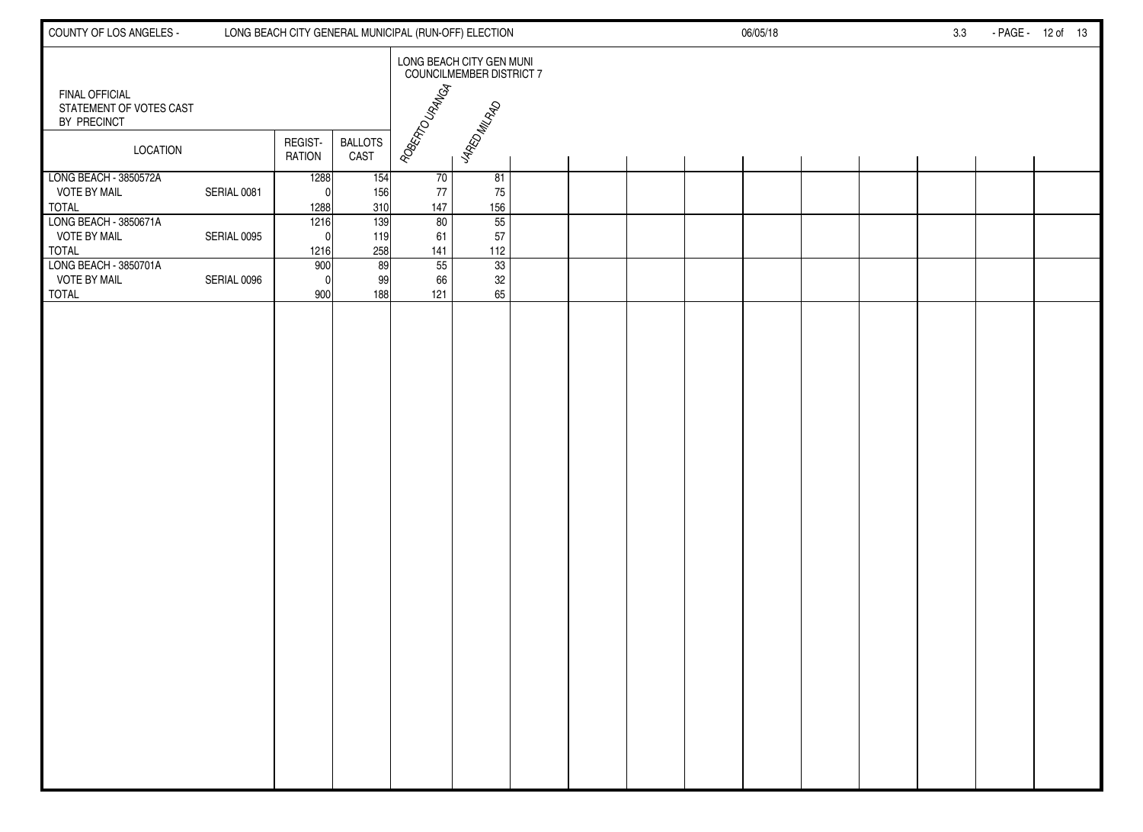| COUNTY OF LOS ANGELES -                                      |             |                          |                        | LONG BEACH CITY GENERAL MUNICIPAL (RUN-OFF) ELECTION |                                                      |  |  | 06/05/18 |  | 3.3 | - PAGE - 12 of 13 |  |
|--------------------------------------------------------------|-------------|--------------------------|------------------------|------------------------------------------------------|------------------------------------------------------|--|--|----------|--|-----|-------------------|--|
| <b>FINAL OFFICIAL</b>                                        |             |                          |                        |                                                      | LONG BEACH CITY GEN MUNI<br>COUNCILMEMBER DISTRICT 7 |  |  |          |  |     |                   |  |
| STATEMENT OF VOTES CAST<br>BY PRECINCT                       |             |                          |                        |                                                      |                                                      |  |  |          |  |     |                   |  |
| <b>LOCATION</b>                                              |             | REGIST-<br><b>RATION</b> | <b>BALLOTS</b><br>CAST | ROBERTO URANGA                                       | <b>JARD MILAD</b>                                    |  |  |          |  |     |                   |  |
| LONG BEACH - 3850572A<br><b>VOTE BY MAIL</b><br><b>TOTAL</b> | SERIAL 0081 | 1288<br>$\Omega$<br>1288 | 154<br>156<br>310      | 70<br>77<br>147                                      | 81<br>75<br>156                                      |  |  |          |  |     |                   |  |
| LONG BEACH - 3850671A<br><b>VOTE BY MAIL</b><br><b>TOTAL</b> | SERIAL 0095 | 1216<br>$\Omega$<br>1216 | 139<br>119<br>258      | 80<br>61<br>141                                      | 55<br>57<br>112                                      |  |  |          |  |     |                   |  |
| LONG BEACH - 3850701A<br><b>VOTE BY MAIL</b><br><b>TOTAL</b> | SERIAL 0096 | 900<br>$\Omega$<br>900   | 89<br>99<br>188        | 55<br>66<br>121                                      | 33<br>32<br>65                                       |  |  |          |  |     |                   |  |
|                                                              |             |                          |                        |                                                      |                                                      |  |  |          |  |     |                   |  |
|                                                              |             |                          |                        |                                                      |                                                      |  |  |          |  |     |                   |  |
|                                                              |             |                          |                        |                                                      |                                                      |  |  |          |  |     |                   |  |
|                                                              |             |                          |                        |                                                      |                                                      |  |  |          |  |     |                   |  |
|                                                              |             |                          |                        |                                                      |                                                      |  |  |          |  |     |                   |  |
|                                                              |             |                          |                        |                                                      |                                                      |  |  |          |  |     |                   |  |
|                                                              |             |                          |                        |                                                      |                                                      |  |  |          |  |     |                   |  |
|                                                              |             |                          |                        |                                                      |                                                      |  |  |          |  |     |                   |  |
|                                                              |             |                          |                        |                                                      |                                                      |  |  |          |  |     |                   |  |
|                                                              |             |                          |                        |                                                      |                                                      |  |  |          |  |     |                   |  |
|                                                              |             |                          |                        |                                                      |                                                      |  |  |          |  |     |                   |  |
|                                                              |             |                          |                        |                                                      |                                                      |  |  |          |  |     |                   |  |